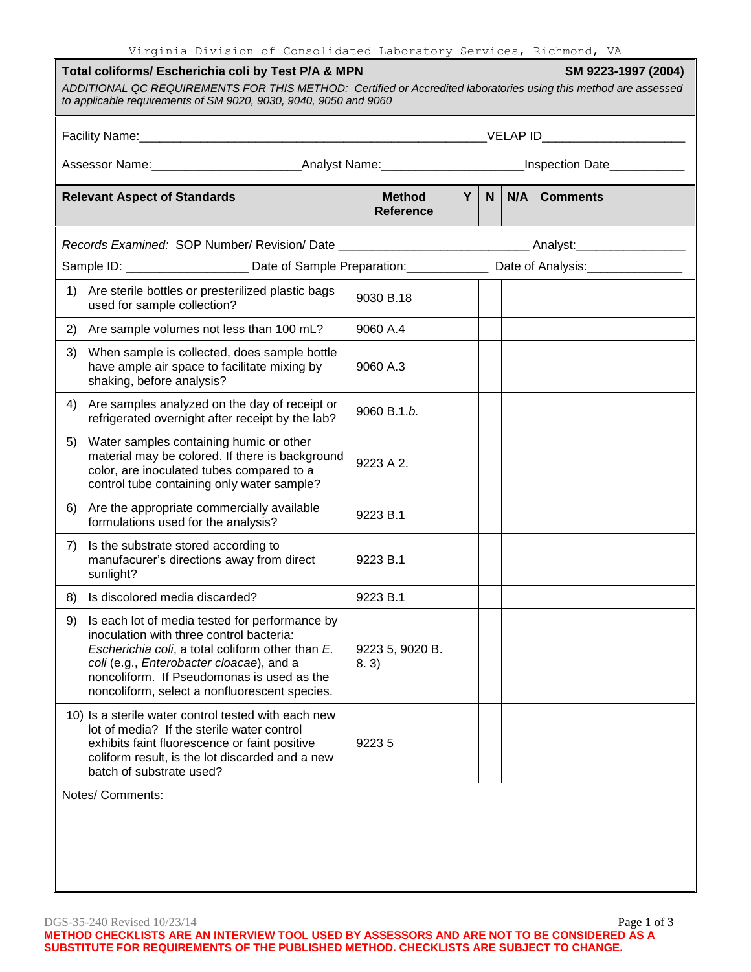Virginia Division of Consolidated Laboratory Services, Richmond, VA

| Total coliforms/ Escherichia coli by Test P/A & MPN<br>SM 9223-1997 (2004)<br>ADDITIONAL QC REQUIREMENTS FOR THIS METHOD: Certified or Accredited laboratories using this method are assessed<br>to applicable requirements of SM 9020, 9030, 9040, 9050 and 9060 |                                                                                                                                                                                                                                                                                           |                                                                                                                |   |   |     |                 |  |
|-------------------------------------------------------------------------------------------------------------------------------------------------------------------------------------------------------------------------------------------------------------------|-------------------------------------------------------------------------------------------------------------------------------------------------------------------------------------------------------------------------------------------------------------------------------------------|----------------------------------------------------------------------------------------------------------------|---|---|-----|-----------------|--|
|                                                                                                                                                                                                                                                                   |                                                                                                                                                                                                                                                                                           |                                                                                                                |   |   |     |                 |  |
|                                                                                                                                                                                                                                                                   |                                                                                                                                                                                                                                                                                           |                                                                                                                |   |   |     |                 |  |
| <b>Relevant Aspect of Standards</b>                                                                                                                                                                                                                               |                                                                                                                                                                                                                                                                                           | <b>Method</b><br><b>Reference</b>                                                                              | Y | N | N/A | <b>Comments</b> |  |
|                                                                                                                                                                                                                                                                   | Records Examined: SOP Number/ Revision/ Date ___________________________________Analyst:_____________________                                                                                                                                                                             |                                                                                                                |   |   |     |                 |  |
|                                                                                                                                                                                                                                                                   |                                                                                                                                                                                                                                                                                           | Sample ID: _______________________ Date of Sample Preparation: ________________ Date of Analysis: ____________ |   |   |     |                 |  |
| 1)                                                                                                                                                                                                                                                                | Are sterile bottles or presterilized plastic bags<br>used for sample collection?                                                                                                                                                                                                          | 9030 B.18                                                                                                      |   |   |     |                 |  |
| 2)                                                                                                                                                                                                                                                                | Are sample volumes not less than 100 mL?                                                                                                                                                                                                                                                  | 9060 A.4                                                                                                       |   |   |     |                 |  |
| 3)                                                                                                                                                                                                                                                                | When sample is collected, does sample bottle<br>have ample air space to facilitate mixing by<br>shaking, before analysis?                                                                                                                                                                 | 9060 A.3                                                                                                       |   |   |     |                 |  |
| 4)                                                                                                                                                                                                                                                                | Are samples analyzed on the day of receipt or<br>refrigerated overnight after receipt by the lab?                                                                                                                                                                                         | 9060 B.1.b.                                                                                                    |   |   |     |                 |  |
| 5)                                                                                                                                                                                                                                                                | Water samples containing humic or other<br>material may be colored. If there is background<br>color, are inoculated tubes compared to a<br>control tube containing only water sample?                                                                                                     | 9223 A 2.                                                                                                      |   |   |     |                 |  |
| 6)                                                                                                                                                                                                                                                                | Are the appropriate commercially available<br>formulations used for the analysis?                                                                                                                                                                                                         | 9223 B.1                                                                                                       |   |   |     |                 |  |
| 7)                                                                                                                                                                                                                                                                | Is the substrate stored according to<br>manufacurer's directions away from direct<br>sunlight?                                                                                                                                                                                            | 9223 B.1                                                                                                       |   |   |     |                 |  |
| 8)                                                                                                                                                                                                                                                                | Is discolored media discarded?                                                                                                                                                                                                                                                            | 9223 B.1                                                                                                       |   |   |     |                 |  |
| 9)                                                                                                                                                                                                                                                                | Is each lot of media tested for performance by<br>inoculation with three control bacteria:<br>Escherichia coli, a total coliform other than E.<br>coli (e.g., Enterobacter cloacae), and a<br>noncoliform. If Pseudomonas is used as the<br>noncoliform, select a nonfluorescent species. | 9223 5, 9020 B.<br>8.3)                                                                                        |   |   |     |                 |  |
|                                                                                                                                                                                                                                                                   | 10) Is a sterile water control tested with each new<br>lot of media? If the sterile water control<br>exhibits faint fluorescence or faint positive<br>coliform result, is the lot discarded and a new<br>batch of substrate used?                                                         | 92235                                                                                                          |   |   |     |                 |  |
| Notes/ Comments:                                                                                                                                                                                                                                                  |                                                                                                                                                                                                                                                                                           |                                                                                                                |   |   |     |                 |  |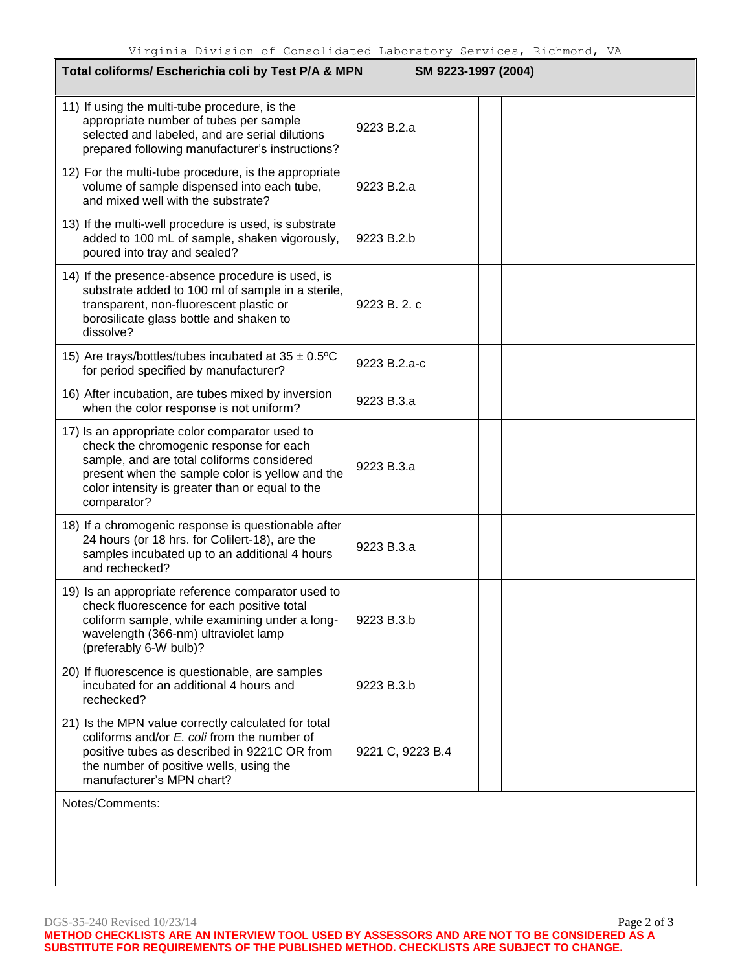| Total coliforms/ Escherichia coli by Test P/A & MPN<br>SM 9223-1997 (2004)                                                                                                                                                                                   |                  |  |  |  |  |  |
|--------------------------------------------------------------------------------------------------------------------------------------------------------------------------------------------------------------------------------------------------------------|------------------|--|--|--|--|--|
| 11) If using the multi-tube procedure, is the<br>appropriate number of tubes per sample<br>selected and labeled, and are serial dilutions<br>prepared following manufacturer's instructions?                                                                 | 9223 B.2.a       |  |  |  |  |  |
| 12) For the multi-tube procedure, is the appropriate<br>volume of sample dispensed into each tube,<br>and mixed well with the substrate?                                                                                                                     | 9223 B.2.a       |  |  |  |  |  |
| 13) If the multi-well procedure is used, is substrate<br>added to 100 mL of sample, shaken vigorously,<br>poured into tray and sealed?                                                                                                                       | 9223 B.2.b       |  |  |  |  |  |
| 14) If the presence-absence procedure is used, is<br>substrate added to 100 ml of sample in a sterile,<br>transparent, non-fluorescent plastic or<br>borosilicate glass bottle and shaken to<br>dissolve?                                                    | 9223 B. 2. c     |  |  |  |  |  |
| 15) Are trays/bottles/tubes incubated at $35 \pm 0.5$ °C<br>for period specified by manufacturer?                                                                                                                                                            | 9223 B.2.a-c     |  |  |  |  |  |
| 16) After incubation, are tubes mixed by inversion<br>when the color response is not uniform?                                                                                                                                                                | 9223 B.3.a       |  |  |  |  |  |
| 17) Is an appropriate color comparator used to<br>check the chromogenic response for each<br>sample, and are total coliforms considered<br>present when the sample color is yellow and the<br>color intensity is greater than or equal to the<br>comparator? | 9223 B.3.a       |  |  |  |  |  |
| 18) If a chromogenic response is questionable after<br>24 hours (or 18 hrs. for Colilert-18), are the<br>samples incubated up to an additional 4 hours<br>and rechecked?                                                                                     | 9223 B.3.a       |  |  |  |  |  |
| 19) Is an appropriate reference comparator used to<br>check fluorescence for each positive total<br>coliform sample, while examining under a long-<br>wavelength (366-nm) ultraviolet lamp<br>(preferably 6-W bulb)?                                         | 9223 B.3.b       |  |  |  |  |  |
| 20) If fluorescence is questionable, are samples<br>incubated for an additional 4 hours and<br>rechecked?                                                                                                                                                    | 9223 B.3.b       |  |  |  |  |  |
| 21) Is the MPN value correctly calculated for total<br>coliforms and/or E. coli from the number of<br>positive tubes as described in 9221C OR from<br>the number of positive wells, using the<br>manufacturer's MPN chart?                                   | 9221 C, 9223 B.4 |  |  |  |  |  |
| Notes/Comments:                                                                                                                                                                                                                                              |                  |  |  |  |  |  |